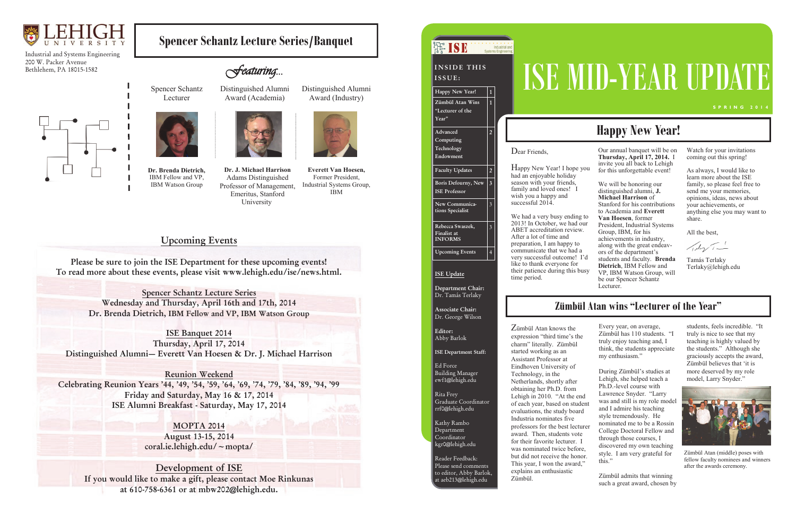

Industrial and Systems Engineering 200 W. Packer Avenue Bethlehem, PA 18015-1582



## **Upcoming Events**

**Please be sure to join the ISE Department for these upcoming events! To read more about these events, please visit www.lehigh.edu/ise/news.html.**

> **Spencer Schantz Lecture Series Wednesday and Thursday, April 16th and 17th, 2014 Dr. Brenda Dietrich, IBM Fellow and VP, IBM Watson Group**

**ISE Banquet 2014 Thursday, April 17, 2014 Distinguished Alumni— Everett Van Hoesen & Dr. J. Michael Harrison**

**Reunion Weekend Celebrating Reunion Years '44, '49, '54, '59, '64, '69, '74, '79, '84, '89, '94, '99 Friday and Saturday, May 16 & 17, 2014 ISE Alumni Breakfast - Saturday, May 17, 2014**

> **MOPTA 2014 August 13-15, 2014 coral.ie.lehigh.edu/~mopta/**

**Development of ISE If you would like to make a gift, please contact Moe Rinkunas at 610-758-6361 or at mbw202@lehigh.edu.**

**Dr. J. Michael Harrison**  Adams Distinguished Professor of Management, Emeritus, Stanford University

**Everett Van Hoesen,**  Former President, Industrial Systems Group, IBM

New Year! I hope you Our annual banquet will be on **Thursday, April 17, 2014.** I invite you all back to Lehigh for this unforgettable event!

**Dr. Brenda Dietrich,**  IBM Fellow and VP, IBM Watson Group

**Spencer Schantz Lecture Series/Banquet** 

Spencer Schantz

Lecturer

Distinguished Alumni Award (Academia)



Distinguished Alumni Award (Industry)



- October, we had our President, Industrial Systems Group, IBM, for his achievements in industry,
- ccessful outcome! I'd along with the great endeavors of the department's students and faculty. **Brenda**
- tience during this busy **Dietrich**, IBM Fellow and VP, IBM Watson Group, will be our Spencer Schantz Lecturer.

Watch for your invitations coming out this spring!

As always, I would like to learn more about the ISE family, so please feel free to send me your memories, opinions, ideas, news about your achievements, or anything else you may want to share.

All the best,

 $\sqrt{d\eta/1-t}$ 

Tamás Terlaky Terlaky@lehigh.edu

|  | $\mathbb{H}$ ise                                  | <b>Systems Engineering</b> | Industrial and |                                                                                                                     |
|--|---------------------------------------------------|----------------------------|----------------|---------------------------------------------------------------------------------------------------------------------|
|  | <b>INSIDE THIS</b><br>ISSUE:                      |                            |                | ISEM                                                                                                                |
|  | Happy New Year!                                   | $\mathbf{1}$               |                |                                                                                                                     |
|  | Zümbül Atan Wins<br>"Lecturer of the<br>Year"     | $\mathbf{1}$               |                |                                                                                                                     |
|  | Advanced<br>Computing<br>Technology<br>Endowment  | $\overline{2}$             |                | Dear Friends,<br>Happy New Year! I hope you<br>had an enjoyable holiday                                             |
|  | <b>Faculty Updates</b>                            | $\overline{2}$             |                |                                                                                                                     |
|  | Boris Defourny, New<br><b>ISE Professor</b>       | $\overline{\mathbf{3}}$    |                | season with your friends,<br>family and loved ones!<br>1<br>wish you a happy and                                    |
|  | New Communica-<br>tions Specialist                | $\overline{\mathbf{3}}$    |                | successful 2014<br>We had a very busy ending to                                                                     |
|  | Rebecca Swaszek,<br>Finalist at<br><b>INFORMS</b> | $\overline{\mathbf{3}}$    |                | 2013! In October, we had our<br>ABET accreditation review.<br>After a lot of time and<br>preparation, I am happy to |
|  | <b>Upcoming Events</b>                            | $\overline{4}$             |                | communicate that we had a<br>very successful outcome! I'd                                                           |
|  | <b>ISE Update</b>                                 |                            |                | like to thank everyone for<br>their patience during this busy<br>time period.                                       |
|  | Department Chair:<br>Dr. Tamás Terlaky            |                            |                |                                                                                                                     |
|  | <b>Associate Chair:</b><br>Dr. George Wilson      |                            |                | <b>Zümbül</b>                                                                                                       |

We will be honoring our distinguished alumni, **J. Michael Harrison** of Stanford for his contributions to Academia and **Everett Van Hoesen**, former

Zümbül Atan knows the expression "third time's the charm" literally. Zümbül started working as an Assistant Professor at Eindhoven University of Technology, in the Netherlands, shortly after obtaining her Ph.D. from Lehigh in 2010. "At the end of each year, based on student evaluations, the study board Industria nominates five professors for the best lecturer award. Then, students vote for their favorite lecturer. I was nominated twice before, but did not receive the honor.

This year, I won the award," explains an enthusiastic Zümbül.

# SE MID-YEAR UPDA

Every year, on average, Zümbül has 110 students. "I truly enjoy teaching and, I think, the students appreciate my enthusiasm."

During Zümbül's studies at Lehigh, she helped teach a Ph.D.-level course with Lawrence Snyder. "Larry was and still is my role model and I admire his teaching style tremendously. He nominated me to be a Rossin College Doctoral Fellow and through those courses, I discovered my own teaching style. I am very grateful for this."

Zümbül admits that winning such a great award, chosen by

students, feels incredible. "It truly is nice to see that my teaching is highly valued by the students." Although she graciously accepts the award, Zümbül believes that 'it is more deserved by my role model, Larry Snyder."

# **Happy New Year!**

## **Zümbül Atan wins "Lecturer of the Year"**

**Editor:** Abby Barlok

**ISE Department Staff:**

Ed Force Building Manager ewf1@lehigh.edu

Rita Frey

Graduate Coordinator rrf0@lehigh.edu

Kathy Rambo Department Coordinator kgr0@lehigh.edu

Reader Feedback: Please send comments to editor, Abby Barlok, at aeb213@lehigh.edu



Zümbül Atan (middle) poses with fellow faculty nominees and winners after the awards ceremony.